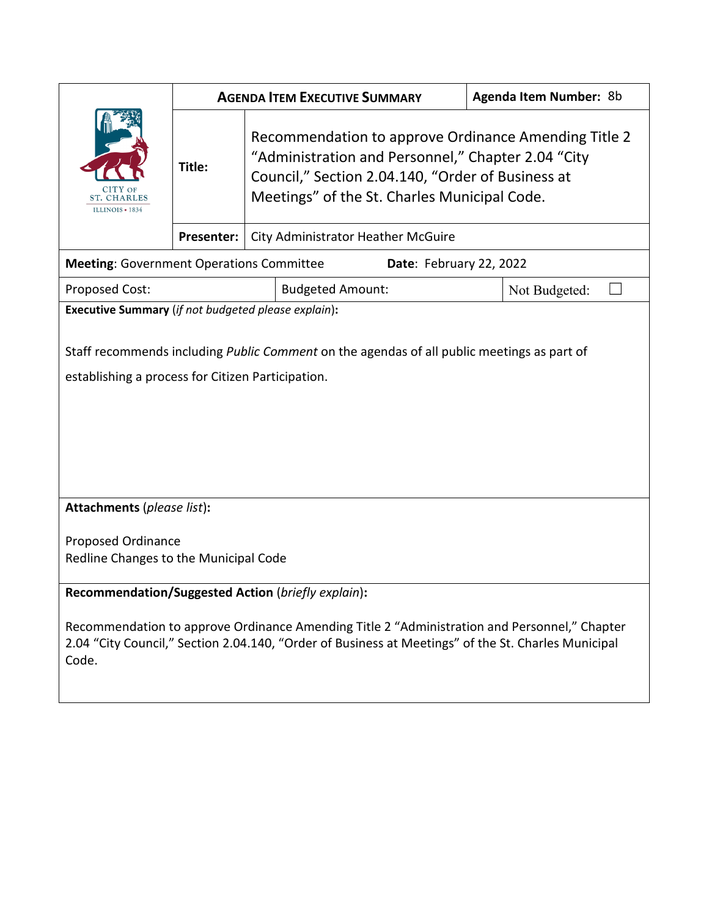|                                                                                                                                                                                                              | <b>AGENDA ITEM EXECUTIVE SUMMARY</b> |                                                                                                                                                                                                                 | <b>Agenda Item Number: 8b</b> |  |
|--------------------------------------------------------------------------------------------------------------------------------------------------------------------------------------------------------------|--------------------------------------|-----------------------------------------------------------------------------------------------------------------------------------------------------------------------------------------------------------------|-------------------------------|--|
| <b>ST. CHARLES</b><br>ILLINOIS $\cdot$ 1834                                                                                                                                                                  | Title:                               | Recommendation to approve Ordinance Amending Title 2<br>"Administration and Personnel," Chapter 2.04 "City<br>Council," Section 2.04.140, "Order of Business at<br>Meetings" of the St. Charles Municipal Code. |                               |  |
|                                                                                                                                                                                                              | Presenter:                           | City Administrator Heather McGuire                                                                                                                                                                              |                               |  |
| <b>Meeting: Government Operations Committee</b><br>Date: February 22, 2022                                                                                                                                   |                                      |                                                                                                                                                                                                                 |                               |  |
| <b>Proposed Cost:</b>                                                                                                                                                                                        |                                      | <b>Budgeted Amount:</b>                                                                                                                                                                                         | Not Budgeted:                 |  |
| Executive Summary (if not budgeted please explain):                                                                                                                                                          |                                      |                                                                                                                                                                                                                 |                               |  |
| Staff recommends including Public Comment on the agendas of all public meetings as part of<br>establishing a process for Citizen Participation.                                                              |                                      |                                                                                                                                                                                                                 |                               |  |
| Attachments (please list):                                                                                                                                                                                   |                                      |                                                                                                                                                                                                                 |                               |  |
| Proposed Ordinance<br>Redline Changes to the Municipal Code                                                                                                                                                  |                                      |                                                                                                                                                                                                                 |                               |  |
|                                                                                                                                                                                                              |                                      |                                                                                                                                                                                                                 |                               |  |
| Recommendation/Suggested Action (briefly explain):                                                                                                                                                           |                                      |                                                                                                                                                                                                                 |                               |  |
| Recommendation to approve Ordinance Amending Title 2 "Administration and Personnel," Chapter<br>2.04 "City Council," Section 2.04.140, "Order of Business at Meetings" of the St. Charles Municipal<br>Code. |                                      |                                                                                                                                                                                                                 |                               |  |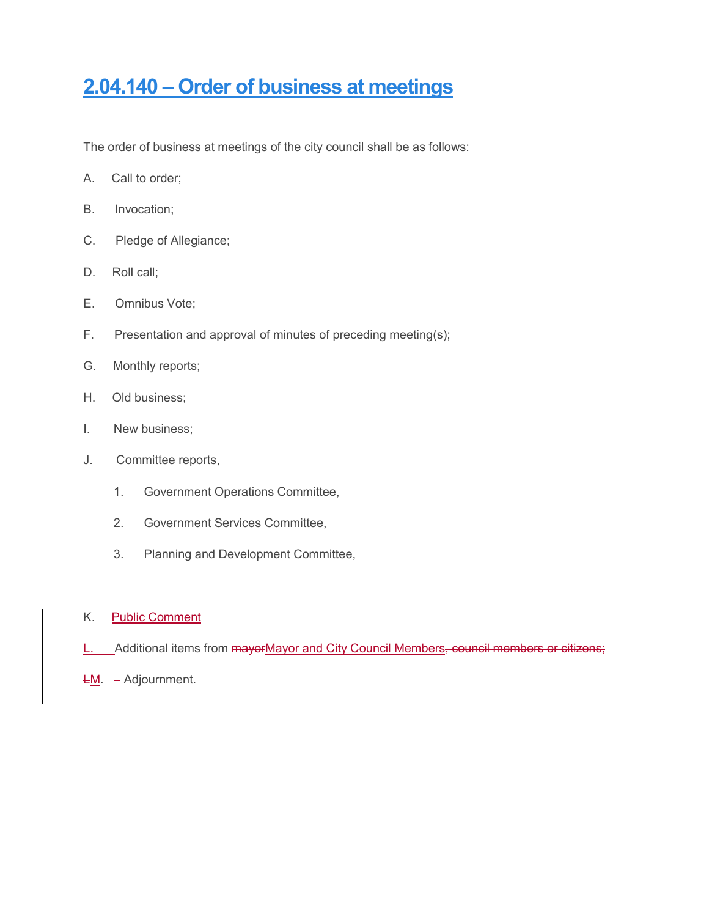# **2.04.140 – [Order of business at meetings](https://codebook.stcharlesil.gov/204-%E2%80%93-city-council/204140)**

The order of business at meetings of the city council shall be as follows:

- A. Call to order;
- B. Invocation;
- C. Pledge of Allegiance;
- D. Roll call;
- E. Omnibus Vote;
- F. Presentation and approval of minutes of preceding meeting(s);
- G. Monthly reports;
- H. Old business;
- I. New business;
- J. Committee reports,
	- 1. Government Operations Committee,
	- 2. Government Services Committee,
	- 3. Planning and Development Committee,

### K. Public Comment

- L. Additional items from mayorMayor and City Council Members, council members or citizens;
- $L_M$ . Adjournment.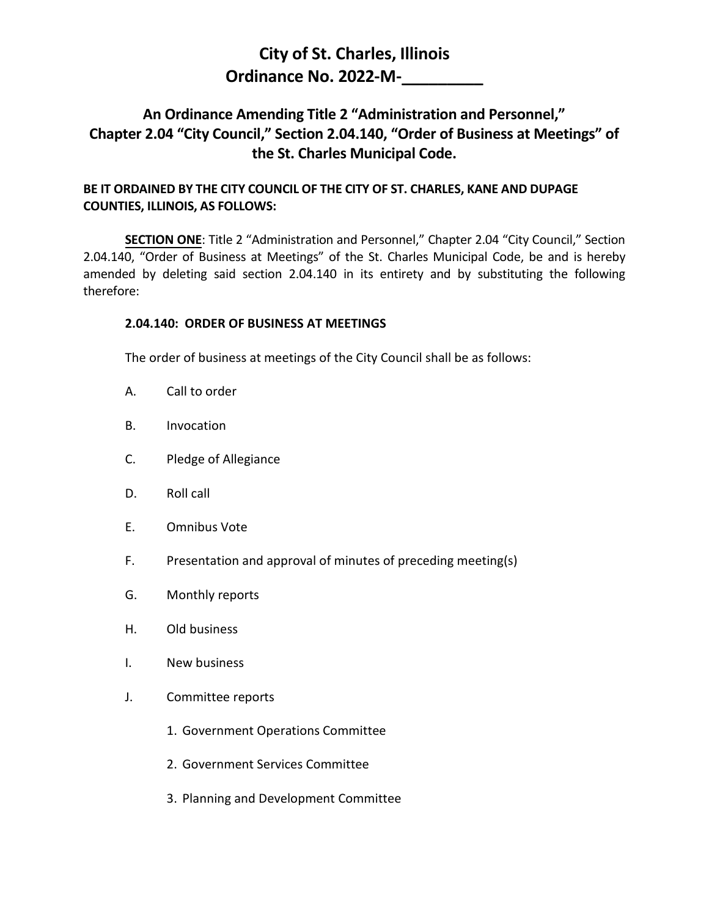## **City of St. Charles, Illinois Ordinance No. 2022-M-\_\_\_\_\_\_\_\_\_**

### **An Ordinance Amending Title 2 "Administration and Personnel," Chapter 2.04 "City Council," Section 2.04.140, "Order of Business at Meetings" of the St. Charles Municipal Code.**

### **BE IT ORDAINED BY THE CITY COUNCIL OF THE CITY OF ST. CHARLES, KANE AND DUPAGE COUNTIES, ILLINOIS, AS FOLLOWS:**

**SECTION ONE**: Title 2 "Administration and Personnel," Chapter 2.04 "City Council," Section 2.04.140, "Order of Business at Meetings" of the St. Charles Municipal Code, be and is hereby amended by deleting said section 2.04.140 in its entirety and by substituting the following therefore:

### **2.04.140: ORDER OF BUSINESS AT MEETINGS**

The order of business at meetings of the City Council shall be as follows:

- A. Call to order
- B. Invocation
- C. Pledge of Allegiance
- D. Roll call
- E. Omnibus Vote
- F. Presentation and approval of minutes of preceding meeting(s)
- G. Monthly reports
- H. Old business
- I. New business
- J. Committee reports
	- 1. Government Operations Committee
	- 2. Government Services Committee
	- 3. Planning and Development Committee